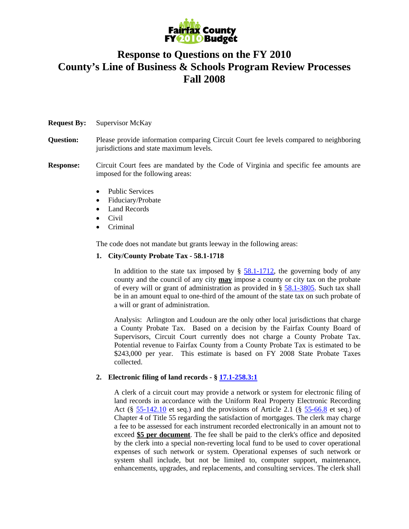

# **Response to Questions on the FY 2010 County's Line of Business & Schools Program Review Processes Fall 2008**

# **Request By:** Supervisor McKay

**Question:** Please provide information comparing Circuit Court fee levels compared to neighboring jurisdictions and state maximum levels.

### **Response:** Circuit Court fees are mandated by the Code of Virginia and specific fee amounts are imposed for the following areas:

- Public Services
- Fiduciary/Probate
- Land Records
- Civil
- Criminal

The code does not mandate but grants leeway in the following areas:

# **1. City/County Probate Tax - 58.1-1718**

In addition to the state tax imposed by  $\S$  58.1-1712, the governing body of any county and the council of any city **may** impose a county or city tax on the probate of every will or grant of administration as provided in § 58.1-3805. Such tax shall be in an amount equal to one-third of the amount of the state tax on such probate of a will or grant of administration.

Analysis: Arlington and Loudoun are the only other local jurisdictions that charge a County Probate Tax. Based on a decision by the Fairfax County Board of Supervisors, Circuit Court currently does not charge a County Probate Tax. Potential revenue to Fairfax County from a County Probate Tax is estimated to be \$243,000 per year. This estimate is based on FY 2008 State Probate Taxes collected.

# **2. Electronic filing of land records - § 17.1-258.3:1**

A clerk of a circuit court may provide a network or system for electronic filing of land records in accordance with the Uniform Real Property Electronic Recording Act (§  $55-142.10$  et seq.) and the provisions of Article 2.1 (§  $55-66.8$  et seq.) of Chapter 4 of Title 55 regarding the satisfaction of mortgages. The clerk may charge a fee to be assessed for each instrument recorded electronically in an amount not to exceed **\$5 per document**. The fee shall be paid to the clerk's office and deposited by the clerk into a special non-reverting local fund to be used to cover operational expenses of such network or system. Operational expenses of such network or system shall include, but not be limited to, computer support, maintenance, enhancements, upgrades, and replacements, and consulting services. The clerk shall